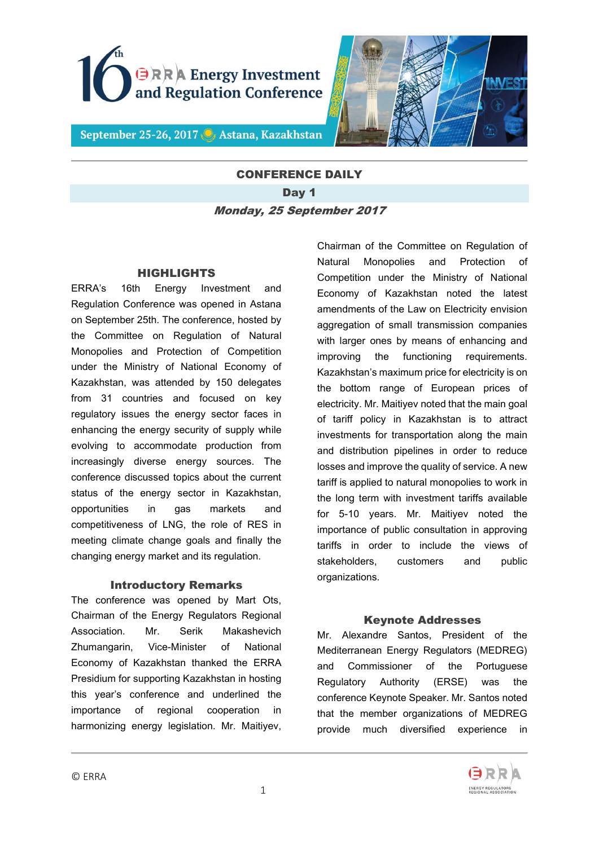



September 25-26, 2017 C Astana, Kazakhstan

# CONFERENCE DAILY Day 1 Monday, 25 September 2017

#### HIGHLIGHTS

ERRA's 16th Energy Investment and Regulation Conference was opened in Astana on September 25th. The conference, hosted by the Committee on Regulation of Natural Monopolies and Protection of Competition under the Ministry of National Economy of Kazakhstan, was attended by 150 delegates from 31 countries and focused on key regulatory issues the energy sector faces in enhancing the energy security of supply while evolving to accommodate production from increasingly diverse energy sources. The conference discussed topics about the current status of the energy sector in Kazakhstan, opportunities in gas markets and competitiveness of LNG, the role of RES in meeting climate change goals and finally the changing energy market and its regulation.

#### Introductory Remarks

The conference was opened by Mart Ots, Chairman of the Energy Regulators Regional Association. Mr. Serik Makashevich Zhumangarin, Vice-Minister of National Economy of Kazakhstan thanked the ERRA Presidium for supporting Kazakhstan in hosting this year's conference and underlined the importance of regional cooperation in harmonizing energy legislation. Mr. Maitiyev,

Chairman of the Committee on Regulation of Natural Monopolies and Protection of Competition under the Ministry of National Economy of Kazakhstan noted the latest amendments of the Law on Electricity envision aggregation of small transmission companies with larger ones by means of enhancing and improving the functioning requirements. Kazakhstan's maximum price for electricity is on the bottom range of European prices of electricity. Mr. Maitiyev noted that the main goal of tariff policy in Kazakhstan is to attract investments for transportation along the main and distribution pipelines in order to reduce losses and improve the quality of service. A new tariff is applied to natural monopolies to work in the long term with investment tariffs available for 5-10 years. Mr. Maitiyev noted the importance of public consultation in approving tariffs in order to include the views of stakeholders, customers and public organizations.

#### Keynote Addresses

Mr. Alexandre Santos, President of the Mediterranean Energy Regulators (MEDREG) and Commissioner of the Portuguese Regulatory Authority (ERSE) was the conference Keynote Speaker. Mr. Santos noted that the member organizations of MEDREG provide much diversified experience in

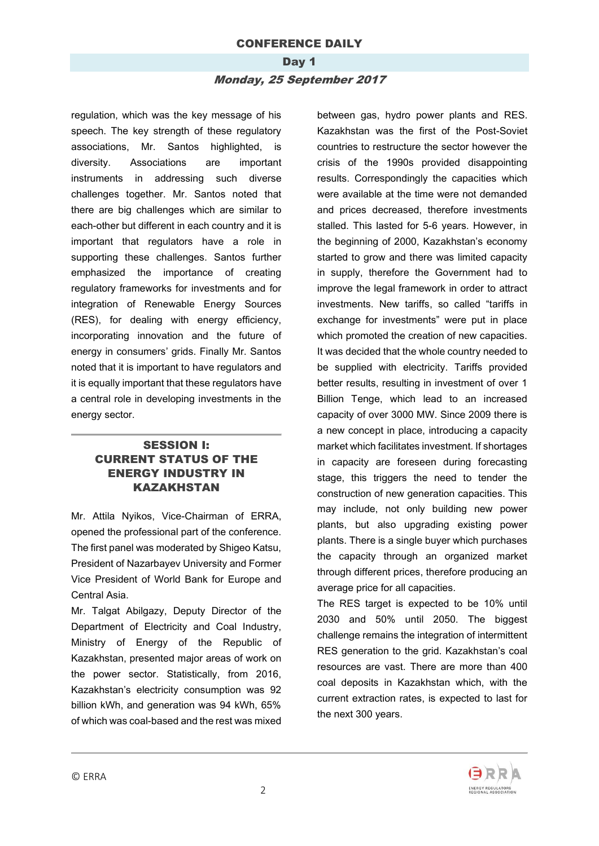## Day 1 Monday, 25 September 2017

regulation, which was the key message of his speech. The key strength of these regulatory associations, Mr. Santos highlighted, is diversity. Associations are important instruments in addressing such diverse challenges together. Mr. Santos noted that there are big challenges which are similar to each-other but different in each country and it is important that regulators have a role in supporting these challenges. Santos further emphasized the importance of creating regulatory frameworks for investments and for integration of Renewable Energy Sources (RES), for dealing with energy efficiency, incorporating innovation and the future of energy in consumers' grids. Finally Mr. Santos noted that it is important to have regulators and it is equally important that these regulators have a central role in developing investments in the energy sector.

### SESSION I: CURRENT STATUS OF THE ENERGY INDUSTRY IN KAZAKHSTAN

Mr. Attila Nyikos, Vice-Chairman of ERRA, opened the professional part of the conference. The first panel was moderated by Shigeo Katsu, President of Nazarbayev University and Former Vice President of World Bank for Europe and Central Asia.

Mr. Talgat Abilgazy, Deputy Director of the Department of Electricity and Coal Industry, Ministry of Energy of the Republic of Kazakhstan, presented major areas of work on the power sector. Statistically, from 2016, Kazakhstan's electricity consumption was 92 billion kWh, and generation was 94 kWh, 65% of which was coal-based and the rest was mixed

between gas, hydro power plants and RES. Kazakhstan was the first of the Post-Soviet countries to restructure the sector however the crisis of the 1990s provided disappointing results. Correspondingly the capacities which were available at the time were not demanded and prices decreased, therefore investments stalled. This lasted for 5-6 years. However, in the beginning of 2000, Kazakhstan's economy started to grow and there was limited capacity in supply, therefore the Government had to improve the legal framework in order to attract investments. New tariffs, so called "tariffs in exchange for investments" were put in place which promoted the creation of new capacities. It was decided that the whole country needed to be supplied with electricity. Tariffs provided better results, resulting in investment of over 1 Billion Tenge, which lead to an increased capacity of over 3000 MW. Since 2009 there is a new concept in place, introducing a capacity market which facilitates investment. If shortages in capacity are foreseen during forecasting stage, this triggers the need to tender the construction of new generation capacities. This may include, not only building new power plants, but also upgrading existing power plants. There is a single buyer which purchases the capacity through an organized market through different prices, therefore producing an average price for all capacities.

The RES target is expected to be 10% until 2030 and 50% until 2050. The biggest challenge remains the integration of intermittent RES generation to the grid. Kazakhstan's coal resources are vast. There are more than 400 coal deposits in Kazakhstan which, with the current extraction rates, is expected to last for the next 300 years.

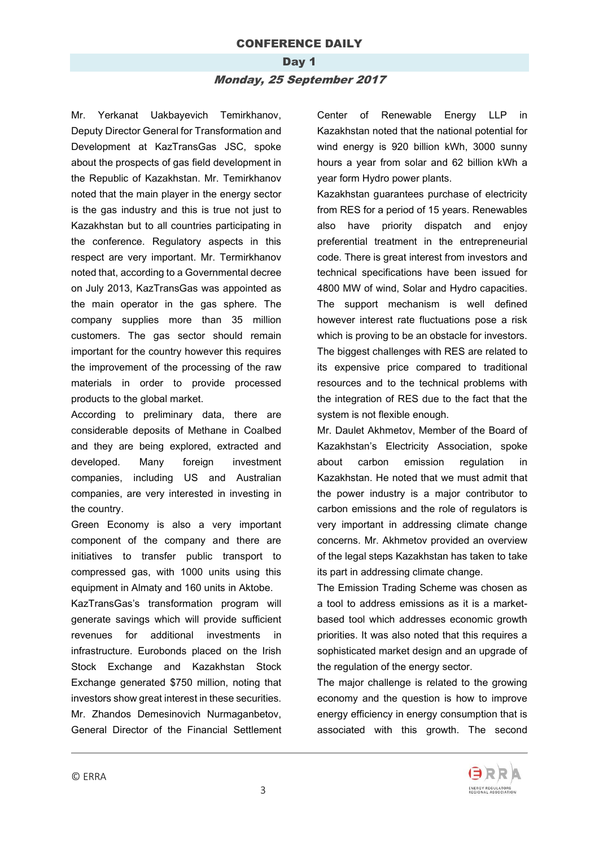# Day 1 Monday, 25 September 2017

Mr. Yerkanat Uakbayevich Temirkhanov, Deputy Director General for Transformation and Development at KazTransGas JSC, spoke about the prospects of gas field development in the Republic of Kazakhstan. Mr. Temirkhanov noted that the main player in the energy sector is the gas industry and this is true not just to Kazakhstan but to all countries participating in the conference. Regulatory aspects in this respect are very important. Mr. Termirkhanov noted that, according to a Governmental decree on July 2013, KazTransGas was appointed as the main operator in the gas sphere. The company supplies more than 35 million customers. The gas sector should remain important for the country however this requires the improvement of the processing of the raw materials in order to provide processed products to the global market.

According to preliminary data, there are considerable deposits of Methane in Coalbed and they are being explored, extracted and developed. Many foreign investment companies, including US and Australian companies, are very interested in investing in the country.

Green Economy is also a very important component of the company and there are initiatives to transfer public transport to compressed gas, with 1000 units using this equipment in Almaty and 160 units in Aktobe.

KazTransGas's transformation program will generate savings which will provide sufficient revenues for additional investments in infrastructure. Eurobonds placed on the Irish Stock Exchange and Kazakhstan Stock Exchange generated \$750 million, noting that investors show great interest in these securities. Mr. Zhandos Demesinovich Nurmaganbetov, General Director of the Financial Settlement

Center of Renewable Energy LLP in Kazakhstan noted that the national potential for wind energy is 920 billion kWh, 3000 sunny hours a year from solar and 62 billion kWh a year form Hydro power plants.

Kazakhstan guarantees purchase of electricity from RES for a period of 15 years. Renewables also have priority dispatch and enjoy preferential treatment in the entrepreneurial code. There is great interest from investors and technical specifications have been issued for 4800 MW of wind, Solar and Hydro capacities. The support mechanism is well defined however interest rate fluctuations pose a risk which is proving to be an obstacle for investors. The biggest challenges with RES are related to its expensive price compared to traditional resources and to the technical problems with the integration of RES due to the fact that the system is not flexible enough.

Mr. Daulet Akhmetov, Member of the Board of Kazakhstan's Electricity Association, spoke about carbon emission regulation in Kazakhstan. He noted that we must admit that the power industry is a major contributor to carbon emissions and the role of regulators is very important in addressing climate change concerns. Mr. Akhmetov provided an overview of the legal steps Kazakhstan has taken to take its part in addressing climate change.

The Emission Trading Scheme was chosen as a tool to address emissions as it is a marketbased tool which addresses economic growth priorities. It was also noted that this requires a sophisticated market design and an upgrade of the regulation of the energy sector.

The major challenge is related to the growing economy and the question is how to improve energy efficiency in energy consumption that is associated with this growth. The second

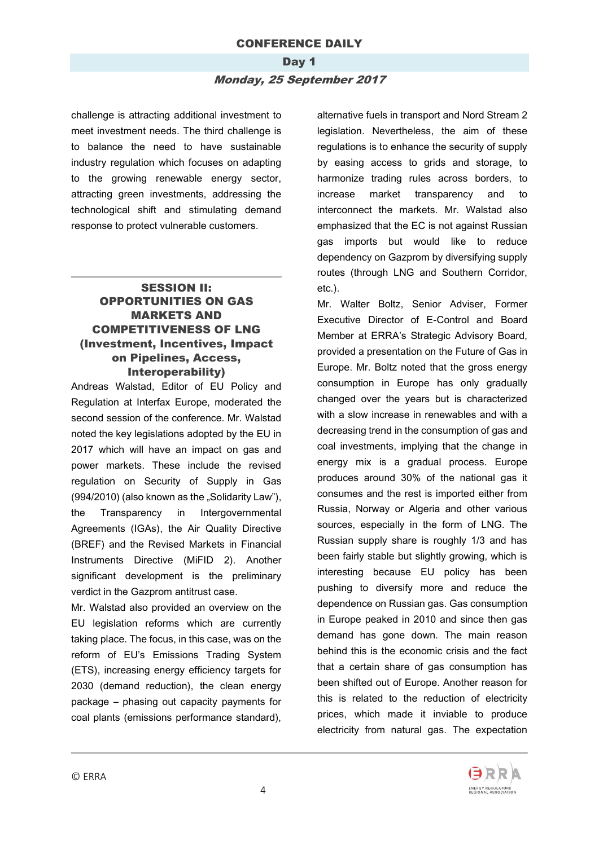#### Day 1

#### Monday, 25 September 2017

challenge is attracting additional investment to meet investment needs. The third challenge is to balance the need to have sustainable industry regulation which focuses on adapting to the growing renewable energy sector, attracting green investments, addressing the technological shift and stimulating demand response to protect vulnerable customers.

### SESSION II: OPPORTUNITIES ON GAS MARKETS AND COMPETITIVENESS OF LNG (Investment, Incentives, Impact on Pipelines, Access, Interoperability)

Andreas Walstad, Editor of EU Policy and Regulation at Interfax Europe, moderated the second session of the conference. Mr. Walstad noted the key legislations adopted by the EU in 2017 which will have an impact on gas and power markets. These include the revised regulation on Security of Supply in Gas (994/2010) (also known as the "Solidarity Law"), the Transparency in Intergovernmental Agreements (IGAs), the Air Quality Directive (BREF) and the Revised Markets in Financial Instruments Directive (MiFID 2). Another significant development is the preliminary verdict in the Gazprom antitrust case.

Mr. Walstad also provided an overview on the EU legislation reforms which are currently taking place. The focus, in this case, was on the reform of EU's Emissions Trading System (ETS), increasing energy efficiency targets for 2030 (demand reduction), the clean energy package – phasing out capacity payments for coal plants (emissions performance standard),

alternative fuels in transport and Nord Stream 2 legislation. Nevertheless, the aim of these regulations is to enhance the security of supply by easing access to grids and storage, to harmonize trading rules across borders, to increase market transparency and to interconnect the markets. Mr. Walstad also emphasized that the EC is not against Russian gas imports but would like to reduce dependency on Gazprom by diversifying supply routes (through LNG and Southern Corridor, etc.).

Mr. Walter Boltz, Senior Adviser, Former Executive Director of E-Control and Board Member at ERRA's Strategic Advisory Board, provided a presentation on the Future of Gas in Europe. Mr. Boltz noted that the gross energy consumption in Europe has only gradually changed over the years but is characterized with a slow increase in renewables and with a decreasing trend in the consumption of gas and coal investments, implying that the change in energy mix is a gradual process. Europe produces around 30% of the national gas it consumes and the rest is imported either from Russia, Norway or Algeria and other various sources, especially in the form of LNG. The Russian supply share is roughly 1/3 and has been fairly stable but slightly growing, which is interesting because EU policy has been pushing to diversify more and reduce the dependence on Russian gas. Gas consumption in Europe peaked in 2010 and since then gas demand has gone down. The main reason behind this is the economic crisis and the fact that a certain share of gas consumption has been shifted out of Europe. Another reason for this is related to the reduction of electricity prices, which made it inviable to produce electricity from natural gas. The expectation

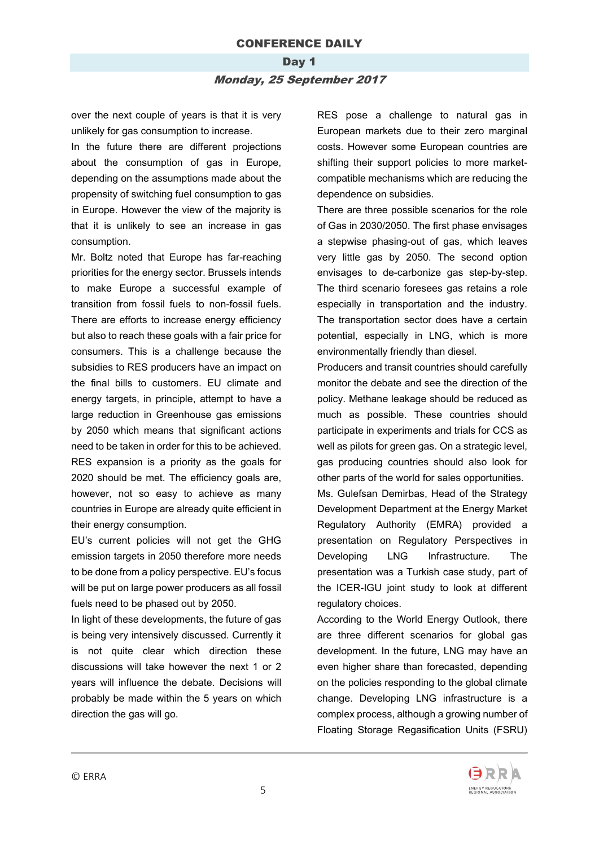## Day 1 Monday, 25 September 2017

over the next couple of years is that it is very unlikely for gas consumption to increase.

In the future there are different projections about the consumption of gas in Europe, depending on the assumptions made about the propensity of switching fuel consumption to gas in Europe. However the view of the majority is that it is unlikely to see an increase in gas consumption.

Mr. Boltz noted that Europe has far-reaching priorities for the energy sector. Brussels intends to make Europe a successful example of transition from fossil fuels to non-fossil fuels. There are efforts to increase energy efficiency but also to reach these goals with a fair price for consumers. This is a challenge because the subsidies to RES producers have an impact on the final bills to customers. EU climate and energy targets, in principle, attempt to have a large reduction in Greenhouse gas emissions by 2050 which means that significant actions need to be taken in order for this to be achieved. RES expansion is a priority as the goals for 2020 should be met. The efficiency goals are, however, not so easy to achieve as many countries in Europe are already quite efficient in their energy consumption.

EU's current policies will not get the GHG emission targets in 2050 therefore more needs to be done from a policy perspective. EU's focus will be put on large power producers as all fossil fuels need to be phased out by 2050.

In light of these developments, the future of gas is being very intensively discussed. Currently it is not quite clear which direction these discussions will take however the next 1 or 2 years will influence the debate. Decisions will probably be made within the 5 years on which direction the gas will go.

RES pose a challenge to natural gas in European markets due to their zero marginal costs. However some European countries are shifting their support policies to more marketcompatible mechanisms which are reducing the dependence on subsidies.

There are three possible scenarios for the role of Gas in 2030/2050. The first phase envisages a stepwise phasing-out of gas, which leaves very little gas by 2050. The second option envisages to de-carbonize gas step-by-step. The third scenario foresees gas retains a role especially in transportation and the industry. The transportation sector does have a certain potential, especially in LNG, which is more environmentally friendly than diesel.

Producers and transit countries should carefully monitor the debate and see the direction of the policy. Methane leakage should be reduced as much as possible. These countries should participate in experiments and trials for CCS as well as pilots for green gas. On a strategic level, gas producing countries should also look for other parts of the world for sales opportunities.

Ms. Gulefsan Demirbas, Head of the Strategy Development Department at the Energy Market Regulatory Authority (EMRA) provided a presentation on Regulatory Perspectives in Developing LNG Infrastructure. The presentation was a Turkish case study, part of the ICER-IGU joint study to look at different regulatory choices.

According to the World Energy Outlook, there are three different scenarios for global gas development. In the future, LNG may have an even higher share than forecasted, depending on the policies responding to the global climate change. Developing LNG infrastructure is a complex process, although a growing number of Floating Storage Regasification Units (FSRU)

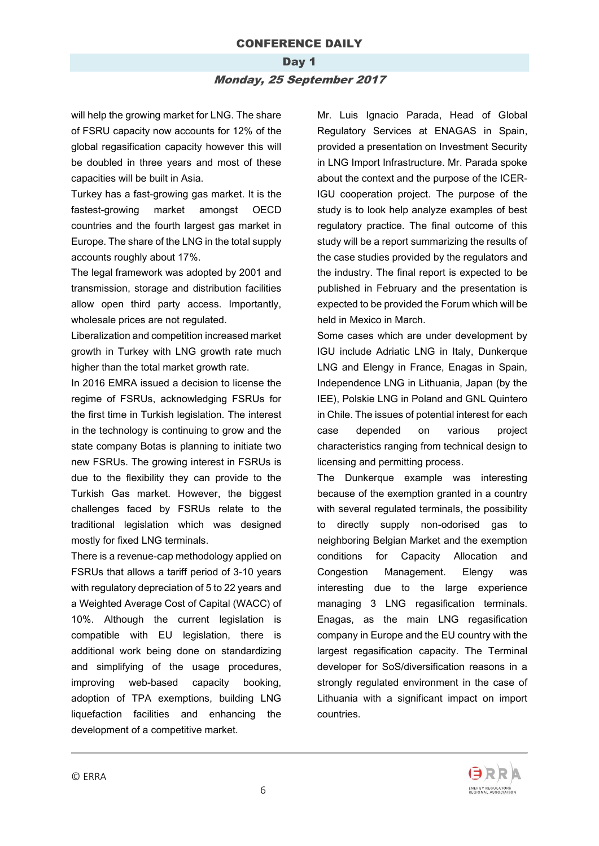#### Day 1

#### Monday, 25 September 2017

will help the growing market for LNG. The share of FSRU capacity now accounts for 12% of the global regasification capacity however this will be doubled in three years and most of these capacities will be built in Asia.

Turkey has a fast-growing gas market. It is the fastest-growing market amongst OECD countries and the fourth largest gas market in Europe. The share of the LNG in the total supply accounts roughly about 17%.

The legal framework was adopted by 2001 and transmission, storage and distribution facilities allow open third party access. Importantly, wholesale prices are not regulated.

Liberalization and competition increased market growth in Turkey with LNG growth rate much higher than the total market growth rate.

In 2016 EMRA issued a decision to license the regime of FSRUs, acknowledging FSRUs for the first time in Turkish legislation. The interest in the technology is continuing to grow and the state company Botas is planning to initiate two new FSRUs. The growing interest in FSRUs is due to the flexibility they can provide to the Turkish Gas market. However, the biggest challenges faced by FSRUs relate to the traditional legislation which was designed mostly for fixed LNG terminals.

There is a revenue-cap methodology applied on FSRUs that allows a tariff period of 3-10 years with regulatory depreciation of 5 to 22 years and a Weighted Average Cost of Capital (WACC) of 10%. Although the current legislation is compatible with EU legislation, there is additional work being done on standardizing and simplifying of the usage procedures, improving web-based capacity booking, adoption of TPA exemptions, building LNG liquefaction facilities and enhancing the development of a competitive market.

Mr. Luis Ignacio Parada, Head of Global Regulatory Services at ENAGAS in Spain, provided a presentation on Investment Security in LNG Import Infrastructure. Mr. Parada spoke about the context and the purpose of the ICER-IGU cooperation project. The purpose of the study is to look help analyze examples of best regulatory practice. The final outcome of this study will be a report summarizing the results of the case studies provided by the regulators and the industry. The final report is expected to be published in February and the presentation is expected to be provided the Forum which will be held in Mexico in March.

Some cases which are under development by IGU include Adriatic LNG in Italy, Dunkerque LNG and Elengy in France, Enagas in Spain, Independence LNG in Lithuania, Japan (by the IEE), Polskie LNG in Poland and GNL Quintero in Chile. The issues of potential interest for each case depended on various project characteristics ranging from technical design to licensing and permitting process.

The Dunkerque example was interesting because of the exemption granted in a country with several regulated terminals, the possibility to directly supply non-odorised gas to neighboring Belgian Market and the exemption conditions for Capacity Allocation and Congestion Management. Elengy was interesting due to the large experience managing 3 LNG regasification terminals. Enagas, as the main LNG regasification company in Europe and the EU country with the largest regasification capacity. The Terminal developer for SoS/diversification reasons in a strongly regulated environment in the case of Lithuania with a significant impact on import countries.

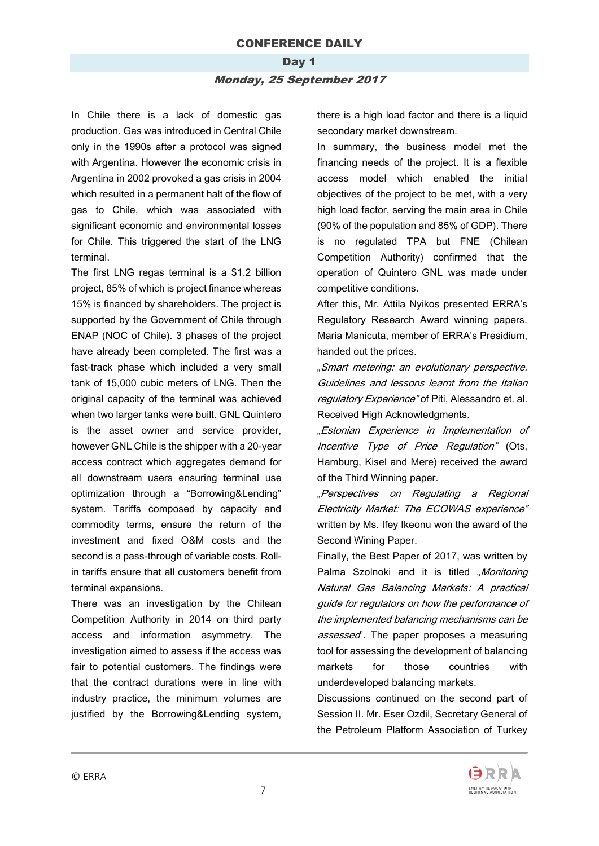#### Day 1

#### Monday, 25 September 2017

In Chile there is a lack of domestic gas production. Gas was introduced in Central Chile only in the 1990s after a protocol was signed with Argentina. However the economic crisis in Argentina in 2002 provoked a gas crisis in 2004 which resulted in a permanent halt of the flow of gas to Chile, which was associated with significant economic and environmental losses for Chile. This triggered the start of the LNG terminal.

The first LNG regas terminal is a \$1.2 billion project, 85% of which is project finance whereas 15% is financed by shareholders. The project is supported by the Government of Chile through ENAP (NOC of Chile). 3 phases of the project have already been completed. The first was a fast-track phase which included a very small tank of 15,000 cubic meters of LNG. Then the original capacity of the terminal was achieved when two larger tanks were built. GNL Quintero is the asset owner and service provider, however GNL Chile is the shipper with a 20-year access contract which aggregates demand for all downstream users ensuring terminal use optimization through a "Borrowing&Lending" system. Tariffs composed by capacity and commodity terms, ensure the return of the investment and fixed O&M costs and the second is a pass-through of variable costs. Rollin tariffs ensure that all customers benefit from terminal expansions.

There was an investigation by the Chilean Competition Authority in 2014 on third party access and information asymmetry. The investigation aimed to assess if the access was fair to potential customers. The findings were that the contract durations were in line with industry practice, the minimum volumes are justified by the Borrowing&Lending system, there is a high load factor and there is a liquid secondary market downstream.

In summary, the business model met the financing needs of the project. It is a flexible access model which enabled the initial objectives of the project to be met, with a very high load factor, serving the main area in Chile (90% of the population and 85% of GDP). There is no regulated TPA but FNE (Chilean Competition Authority) confirmed that the operation of Quintero GNL was made under competitive conditions.

After this, Mr. Attila Nyikos presented ERRA's Regulatory Research Award winning papers. Maria Manicuta, member of ERRA's Presidium, handed out the prices.

"Smart metering: an evolutionary perspective. Guidelines and lessons learnt from the Italian regulatory Experience" of Piti, Alessandro et. al. Received High Acknowledgments.

"Estonian Experience in Implementation of Incentive Type of Price Regulation" (Ots, Hamburg, Kisel and Mere) received the award of the Third Winning paper.

"Perspectives on Regulating a Regional Electricity Market: The ECOWAS experience" written by Ms. Ifey Ikeonu won the award of the Second Wining Paper.

Finally, the Best Paper of 2017, was written by Palma Szolnoki and it is titled "Monitoring Natural Gas Balancing Markets: A practical guide for regulators on how the performance of the implemented balancing mechanisms can be assessed". The paper proposes a measuring tool for assessing the development of balancing markets for those countries with underdeveloped balancing markets.

Discussions continued on the second part of Session II. Mr. Eser Ozdil, Secretary General of the Petroleum Platform Association of Turkey

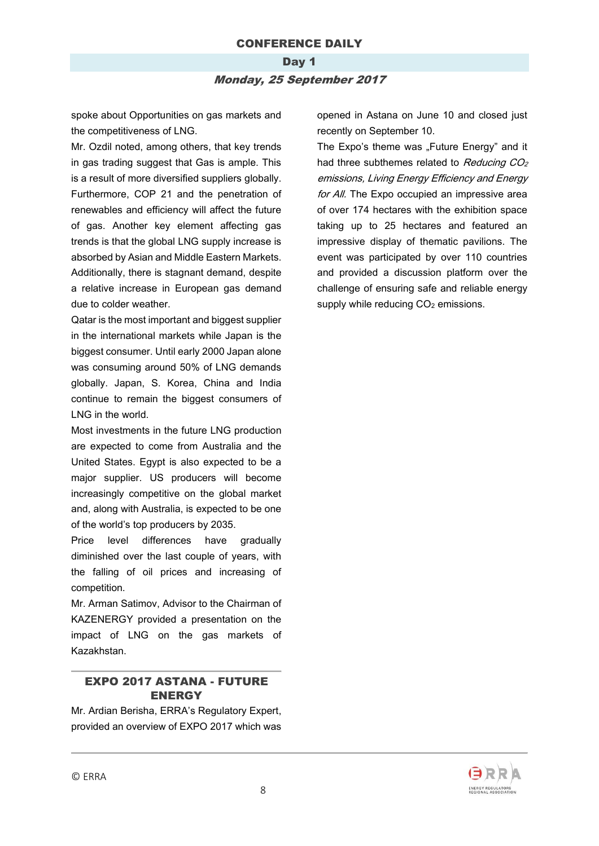### Day 1 Monday, 25 September 2017

spoke about Opportunities on gas markets and the competitiveness of LNG.

Mr. Ozdil noted, among others, that key trends in gas trading suggest that Gas is ample. This is a result of more diversified suppliers globally. Furthermore, COP 21 and the penetration of renewables and efficiency will affect the future of gas. Another key element affecting gas trends is that the global LNG supply increase is absorbed by Asian and Middle Eastern Markets. Additionally, there is stagnant demand, despite a relative increase in European gas demand due to colder weather.

Qatar is the most important and biggest supplier in the international markets while Japan is the biggest consumer. Until early 2000 Japan alone was consuming around 50% of LNG demands globally. Japan, S. Korea, China and India continue to remain the biggest consumers of LNG in the world.

Most investments in the future LNG production are expected to come from Australia and the United States. Egypt is also expected to be a major supplier. US producers will become increasingly competitive on the global market and, along with Australia, is expected to be one of the world's top producers by 2035.

Price level differences have gradually diminished over the last couple of years, with the falling of oil prices and increasing of competition.

Mr. Arman Satimov, Advisor to the Chairman of KAZENERGY provided a presentation on the impact of LNG on the gas markets of Kazakhstan.

#### EXPO 2017 ASTANA - FUTURE ENERGY

Mr. Ardian Berisha, ERRA's Regulatory Expert, provided an overview of EXPO 2017 which was opened in Astana on June 10 and closed just recently on September 10.

The Expo's theme was "Future Energy" and it had three subthemes related to Reducing CO<sub>2</sub> emissions, Living Energy Efficiency and Energy for All. The Expo occupied an impressive area of over 174 hectares with the exhibition space taking up to 25 hectares and featured an impressive display of thematic pavilions. The event was participated by over 110 countries and provided a discussion platform over the challenge of ensuring safe and reliable energy supply while reducing  $CO<sub>2</sub>$  emissions.

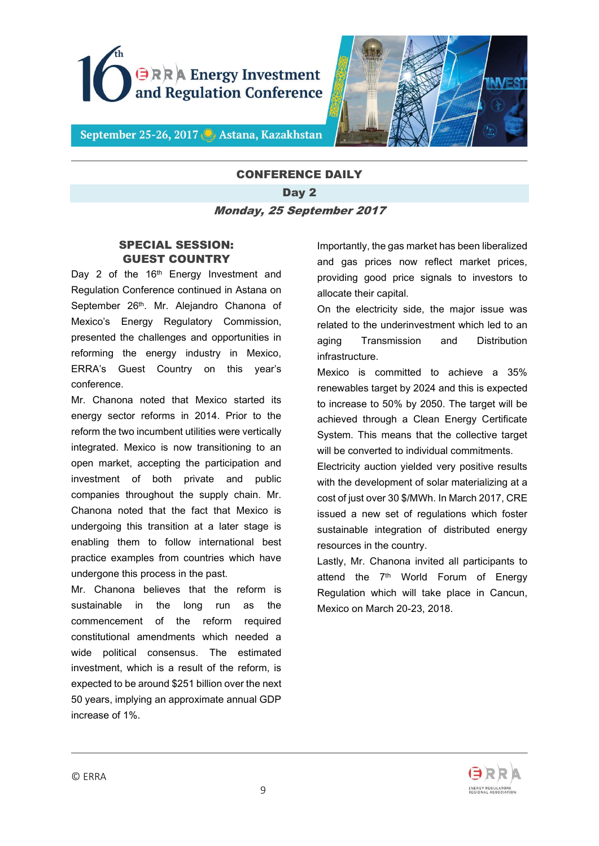



September 25-26, 2017 C Astana, Kazakhstan

# CONFERENCE DAILY Day 2 Monday, 25 September 2017

### SPECIAL SESSION: GUEST COUNTRY

Day 2 of the 16<sup>th</sup> Energy Investment and Regulation Conference continued in Astana on September 26<sup>th</sup>. Mr. Alejandro Chanona of Mexico's Energy Regulatory Commission, presented the challenges and opportunities in reforming the energy industry in Mexico, ERRA's Guest Country on this year's conference.

Mr. Chanona noted that Mexico started its energy sector reforms in 2014. Prior to the reform the two incumbent utilities were vertically integrated. Mexico is now transitioning to an open market, accepting the participation and investment of both private and public companies throughout the supply chain. Mr. Chanona noted that the fact that Mexico is undergoing this transition at a later stage is enabling them to follow international best practice examples from countries which have undergone this process in the past.

Mr. Chanona believes that the reform is sustainable in the long run as the commencement of the reform required constitutional amendments which needed a wide political consensus. The estimated investment, which is a result of the reform, is expected to be around \$251 billion over the next 50 years, implying an approximate annual GDP increase of 1%.

Importantly, the gas market has been liberalized and gas prices now reflect market prices, providing good price signals to investors to allocate their capital.

On the electricity side, the major issue was related to the underinvestment which led to an aging Transmission and Distribution infrastructure.

Mexico is committed to achieve a 35% renewables target by 2024 and this is expected to increase to 50% by 2050. The target will be achieved through a Clean Energy Certificate System. This means that the collective target will be converted to individual commitments.

Electricity auction yielded very positive results with the development of solar materializing at a cost of just over 30 \$/MWh. In March 2017, CRE issued a new set of regulations which foster sustainable integration of distributed energy resources in the country.

Lastly, Mr. Chanona invited all participants to attend the 7<sup>th</sup> World Forum of Energy Regulation which will take place in Cancun, Mexico on March 20-23, 2018.

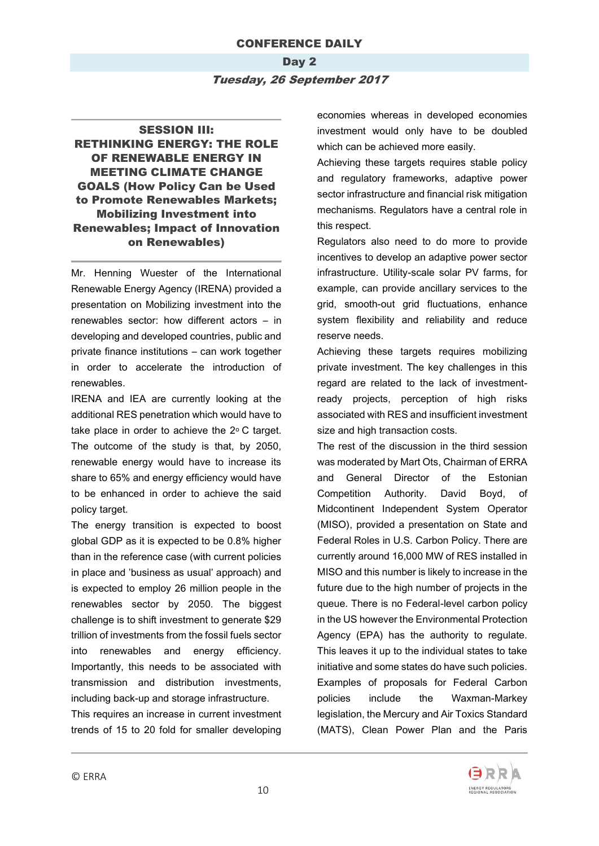### Day 2 Tuesday, 26 September 2017

### SESSION III: RETHINKING ENERGY: THE ROLE OF RENEWABLE ENERGY IN MEETING CLIMATE CHANGE GOALS (How Policy Can be Used to Promote Renewables Markets; Mobilizing Investment into Renewables; Impact of Innovation on Renewables)

Mr. Henning Wuester of the International Renewable Energy Agency (IRENA) provided a presentation on Mobilizing investment into the renewables sector: how different actors – in developing and developed countries, public and private finance institutions – can work together in order to accelerate the introduction of renewables.

IRENA and IEA are currently looking at the additional RES penetration which would have to take place in order to achieve the  $2^{\circ}$  C target. The outcome of the study is that, by 2050, renewable energy would have to increase its share to 65% and energy efficiency would have to be enhanced in order to achieve the said policy target.

The energy transition is expected to boost global GDP as it is expected to be 0.8% higher than in the reference case (with current policies in place and 'business as usual' approach) and is expected to employ 26 million people in the renewables sector by 2050. The biggest challenge is to shift investment to generate \$29 trillion of investments from the fossil fuels sector into renewables and energy efficiency. Importantly, this needs to be associated with transmission and distribution investments, including back-up and storage infrastructure.

This requires an increase in current investment trends of 15 to 20 fold for smaller developing

economies whereas in developed economies investment would only have to be doubled which can be achieved more easily.

Achieving these targets requires stable policy and regulatory frameworks, adaptive power sector infrastructure and financial risk mitigation mechanisms. Regulators have a central role in this respect.

Regulators also need to do more to provide incentives to develop an adaptive power sector infrastructure. Utility-scale solar PV farms, for example, can provide ancillary services to the grid, smooth-out grid fluctuations, enhance system flexibility and reliability and reduce reserve needs.

Achieving these targets requires mobilizing private investment. The key challenges in this regard are related to the lack of investmentready projects, perception of high risks associated with RES and insufficient investment size and high transaction costs.

The rest of the discussion in the third session was moderated by Mart Ots, Chairman of ERRA and General Director of the Estonian Competition Authority. David Boyd, of Midcontinent Independent System Operator (MISO), provided a presentation on State and Federal Roles in U.S. Carbon Policy. There are currently around 16,000 MW of RES installed in MISO and this number is likely to increase in the future due to the high number of projects in the queue. There is no Federal-level carbon policy in the US however the Environmental Protection Agency (EPA) has the authority to regulate. This leaves it up to the individual states to take initiative and some states do have such policies. Examples of proposals for Federal Carbon policies include the Waxman-Markey legislation, the Mercury and Air Toxics Standard (MATS), Clean Power Plan and the Paris

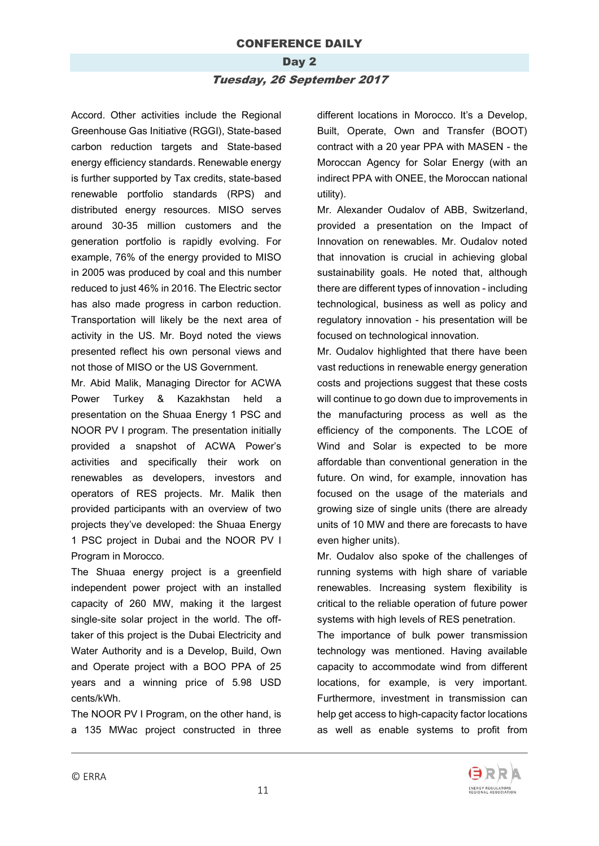#### Day 2

#### Tuesday, 26 September 2017

Accord. Other activities include the Regional Greenhouse Gas Initiative (RGGI), State-based carbon reduction targets and State-based energy efficiency standards. Renewable energy is further supported by Tax credits, state-based renewable portfolio standards (RPS) and distributed energy resources. MISO serves around 30-35 million customers and the generation portfolio is rapidly evolving. For example, 76% of the energy provided to MISO in 2005 was produced by coal and this number reduced to just 46% in 2016. The Electric sector has also made progress in carbon reduction. Transportation will likely be the next area of activity in the US. Mr. Boyd noted the views presented reflect his own personal views and not those of MISO or the US Government.

Mr. Abid Malik, Managing Director for ACWA Power Turkey & Kazakhstan held a presentation on the Shuaa Energy 1 PSC and NOOR PV I program. The presentation initially provided a snapshot of ACWA Power's activities and specifically their work on renewables as developers, investors and operators of RES projects. Mr. Malik then provided participants with an overview of two projects they've developed: the Shuaa Energy 1 PSC project in Dubai and the NOOR PV I Program in Morocco.

The Shuaa energy project is a greenfield independent power project with an installed capacity of 260 MW, making it the largest single-site solar project in the world. The offtaker of this project is the Dubai Electricity and Water Authority and is a Develop, Build, Own and Operate project with a BOO PPA of 25 years and a winning price of 5.98 USD cents/kWh.

The NOOR PV I Program, on the other hand, is a 135 MWac project constructed in three different locations in Morocco. It's a Develop, Built, Operate, Own and Transfer (BOOT) contract with a 20 year PPA with MASEN - the Moroccan Agency for Solar Energy (with an indirect PPA with ONEE, the Moroccan national utility).

Mr. Alexander Oudalov of ABB, Switzerland, provided a presentation on the Impact of Innovation on renewables. Mr. Oudalov noted that innovation is crucial in achieving global sustainability goals. He noted that, although there are different types of innovation - including technological, business as well as policy and regulatory innovation - his presentation will be focused on technological innovation.

Mr. Oudalov highlighted that there have been vast reductions in renewable energy generation costs and projections suggest that these costs will continue to go down due to improvements in the manufacturing process as well as the efficiency of the components. The LCOE of Wind and Solar is expected to be more affordable than conventional generation in the future. On wind, for example, innovation has focused on the usage of the materials and growing size of single units (there are already units of 10 MW and there are forecasts to have even higher units).

Mr. Oudalov also spoke of the challenges of running systems with high share of variable renewables. Increasing system flexibility is critical to the reliable operation of future power systems with high levels of RES penetration.

The importance of bulk power transmission technology was mentioned. Having available capacity to accommodate wind from different locations, for example, is very important. Furthermore, investment in transmission can help get access to high-capacity factor locations as well as enable systems to profit from

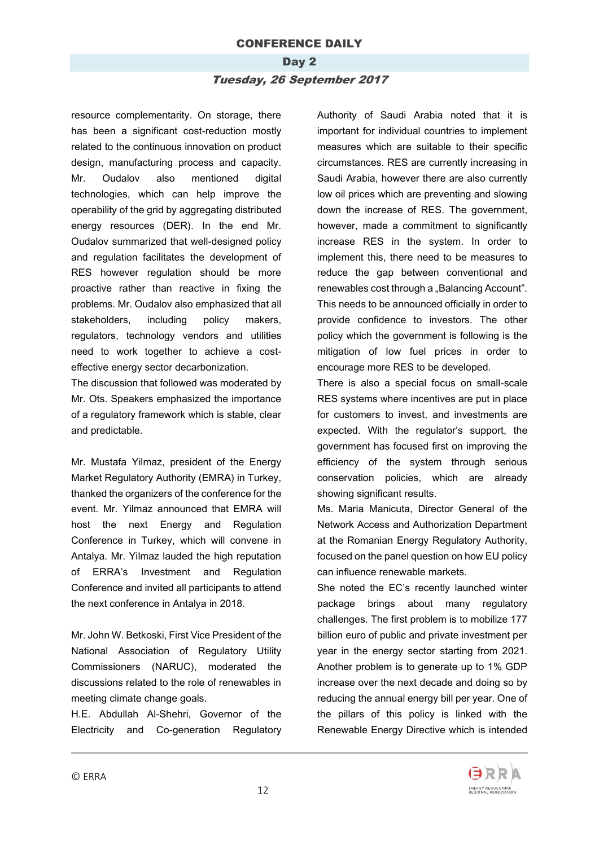# Day 2 Tuesday, 26 September 2017

resource complementarity. On storage, there has been a significant cost-reduction mostly related to the continuous innovation on product design, manufacturing process and capacity. Mr. Oudalov also mentioned digital technologies, which can help improve the operability of the grid by aggregating distributed energy resources (DER). In the end Mr. Oudalov summarized that well-designed policy and regulation facilitates the development of RES however regulation should be more proactive rather than reactive in fixing the problems. Mr. Oudalov also emphasized that all stakeholders, including policy makers, regulators, technology vendors and utilities need to work together to achieve a costeffective energy sector decarbonization.

The discussion that followed was moderated by Mr. Ots. Speakers emphasized the importance of a regulatory framework which is stable, clear and predictable.

Mr. Mustafa Yilmaz, president of the Energy Market Regulatory Authority (EMRA) in Turkey, thanked the organizers of the conference for the event. Mr. Yilmaz announced that EMRA will host the next Energy and Regulation Conference in Turkey, which will convene in Antalya. Mr. Yilmaz lauded the high reputation of ERRA's Investment and Regulation Conference and invited all participants to attend the next conference in Antalya in 2018.

Mr. John W. Betkoski, First Vice President of the National Association of Regulatory Utility Commissioners (NARUC), moderated the discussions related to the role of renewables in meeting climate change goals.

H.E. Abdullah Al-Shehri, Governor of the Electricity and Co-generation Regulatory Authority of Saudi Arabia noted that it is important for individual countries to implement measures which are suitable to their specific circumstances. RES are currently increasing in Saudi Arabia, however there are also currently low oil prices which are preventing and slowing down the increase of RES. The government, however, made a commitment to significantly increase RES in the system. In order to implement this, there need to be measures to reduce the gap between conventional and renewables cost through a "Balancing Account". This needs to be announced officially in order to provide confidence to investors. The other policy which the government is following is the mitigation of low fuel prices in order to encourage more RES to be developed.

There is also a special focus on small-scale RES systems where incentives are put in place for customers to invest, and investments are expected. With the regulator's support, the government has focused first on improving the efficiency of the system through serious conservation policies, which are already showing significant results.

Ms. Maria Manicuta, Director General of the Network Access and Authorization Department at the Romanian Energy Regulatory Authority, focused on the panel question on how EU policy can influence renewable markets.

She noted the EC's recently launched winter package brings about many regulatory challenges. The first problem is to mobilize 177 billion euro of public and private investment per year in the energy sector starting from 2021. Another problem is to generate up to 1% GDP increase over the next decade and doing so by reducing the annual energy bill per year. One of the pillars of this policy is linked with the Renewable Energy Directive which is intended

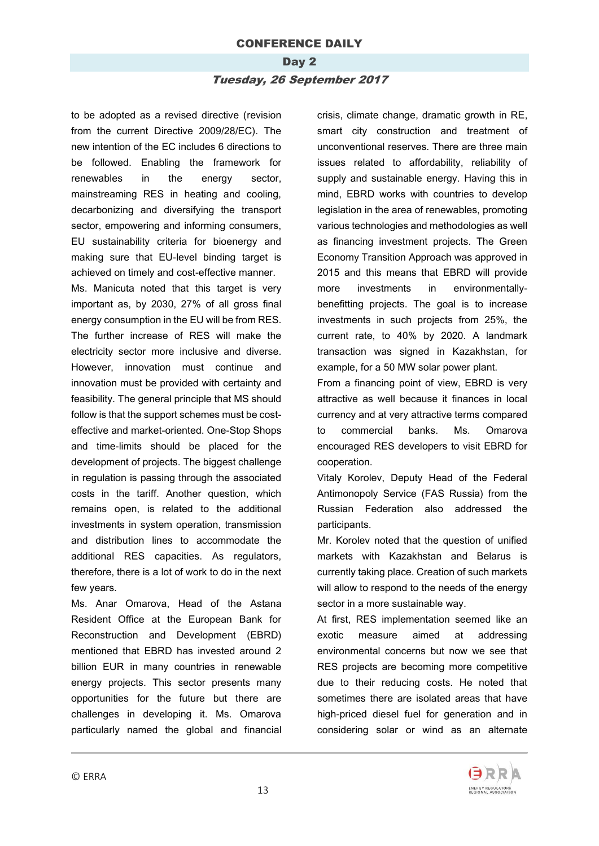# Day 2 Tuesday, 26 September 2017

to be adopted as a revised directive (revision from the current Directive 2009/28/EC). The new intention of the EC includes 6 directions to be followed. Enabling the framework for renewables in the energy sector, mainstreaming RES in heating and cooling, decarbonizing and diversifying the transport sector, empowering and informing consumers, EU sustainability criteria for bioenergy and making sure that EU-level binding target is achieved on timely and cost-effective manner.

Ms. Manicuta noted that this target is very important as, by 2030, 27% of all gross final energy consumption in the EU will be from RES. The further increase of RES will make the electricity sector more inclusive and diverse. However, innovation must continue and innovation must be provided with certainty and feasibility. The general principle that MS should follow is that the support schemes must be costeffective and market-oriented. One-Stop Shops and time-limits should be placed for the development of projects. The biggest challenge in regulation is passing through the associated costs in the tariff. Another question, which remains open, is related to the additional investments in system operation, transmission and distribution lines to accommodate the additional RES capacities. As regulators, therefore, there is a lot of work to do in the next few years.

Ms. Anar Omarova, Head of the Astana Resident Office at the European Bank for Reconstruction and Development (EBRD) mentioned that EBRD has invested around 2 billion EUR in many countries in renewable energy projects. This sector presents many opportunities for the future but there are challenges in developing it. Ms. Omarova particularly named the global and financial crisis, climate change, dramatic growth in RE, smart city construction and treatment of unconventional reserves. There are three main issues related to affordability, reliability of supply and sustainable energy. Having this in mind, EBRD works with countries to develop legislation in the area of renewables, promoting various technologies and methodologies as well as financing investment projects. The Green Economy Transition Approach was approved in 2015 and this means that EBRD will provide more investments in environmentallybenefitting projects. The goal is to increase investments in such projects from 25%, the current rate, to 40% by 2020. A landmark transaction was signed in Kazakhstan, for example, for a 50 MW solar power plant.

From a financing point of view, EBRD is very attractive as well because it finances in local currency and at very attractive terms compared to commercial banks. Ms. Omarova encouraged RES developers to visit EBRD for cooperation.

Vitaly Korolev, Deputy Head of the Federal Antimonopoly Service (FAS Russia) from the Russian Federation also addressed the participants.

Mr. Korolev noted that the question of unified markets with Kazakhstan and Belarus is currently taking place. Creation of such markets will allow to respond to the needs of the energy sector in a more sustainable way.

At first, RES implementation seemed like an exotic measure aimed at addressing environmental concerns but now we see that RES projects are becoming more competitive due to their reducing costs. He noted that sometimes there are isolated areas that have high-priced diesel fuel for generation and in considering solar or wind as an alternate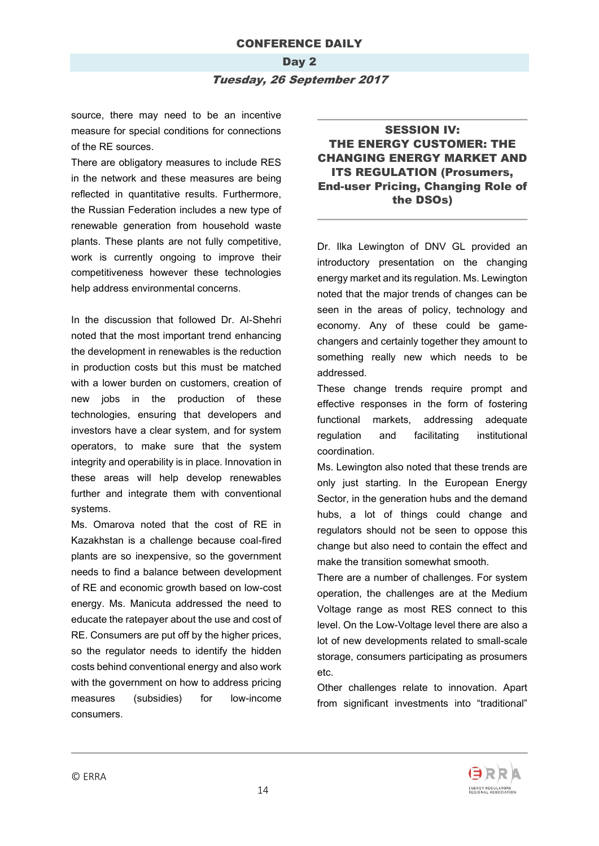## Day 2 Tuesday, 26 September 2017

source, there may need to be an incentive measure for special conditions for connections of the RE sources.

There are obligatory measures to include RES in the network and these measures are being reflected in quantitative results. Furthermore, the Russian Federation includes a new type of renewable generation from household waste plants. These plants are not fully competitive, work is currently ongoing to improve their competitiveness however these technologies help address environmental concerns.

In the discussion that followed Dr. Al-Shehri noted that the most important trend enhancing the development in renewables is the reduction in production costs but this must be matched with a lower burden on customers, creation of new jobs in the production of these technologies, ensuring that developers and investors have a clear system, and for system operators, to make sure that the system integrity and operability is in place. Innovation in these areas will help develop renewables further and integrate them with conventional systems.

Ms. Omarova noted that the cost of RE in Kazakhstan is a challenge because coal-fired plants are so inexpensive, so the government needs to find a balance between development of RE and economic growth based on low-cost energy. Ms. Manicuta addressed the need to educate the ratepayer about the use and cost of RE. Consumers are put off by the higher prices, so the regulator needs to identify the hidden costs behind conventional energy and also work with the government on how to address pricing measures (subsidies) for low-income consumers.

### SESSION IV: THE ENERGY CUSTOMER: THE CHANGING ENERGY MARKET AND ITS REGULATION (Prosumers, End-user Pricing, Changing Role of the DSOs)

Dr. Ilka Lewington of DNV GL provided an introductory presentation on the changing energy market and its regulation. Ms. Lewington noted that the major trends of changes can be seen in the areas of policy, technology and economy. Any of these could be gamechangers and certainly together they amount to something really new which needs to be addressed.

These change trends require prompt and effective responses in the form of fostering functional markets, addressing adequate regulation and facilitating institutional coordination.

Ms. Lewington also noted that these trends are only just starting. In the European Energy Sector, in the generation hubs and the demand hubs, a lot of things could change and regulators should not be seen to oppose this change but also need to contain the effect and make the transition somewhat smooth.

There are a number of challenges. For system operation, the challenges are at the Medium Voltage range as most RES connect to this level. On the Low-Voltage level there are also a lot of new developments related to small-scale storage, consumers participating as prosumers etc.

Other challenges relate to innovation. Apart from significant investments into "traditional"

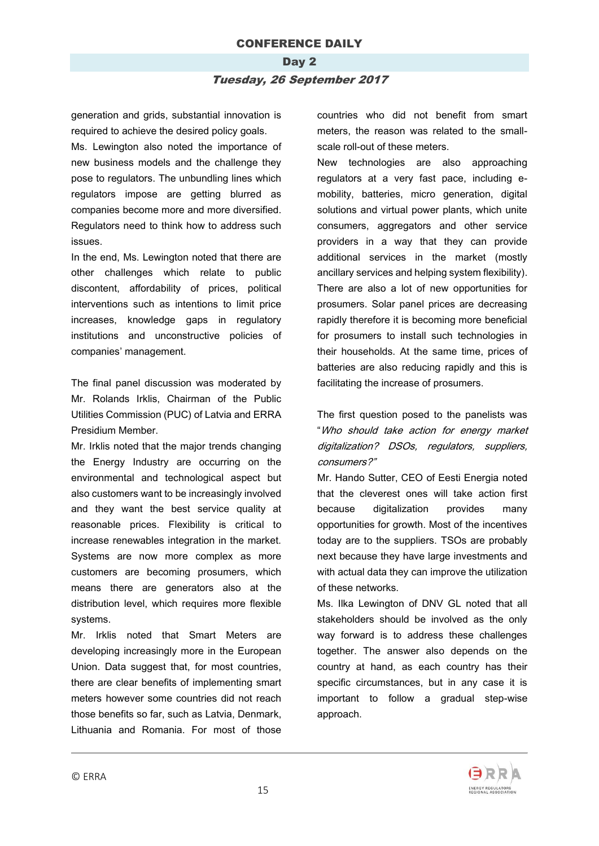# Day 2 Tuesday, 26 September 2017

generation and grids, substantial innovation is required to achieve the desired policy goals.

Ms. Lewington also noted the importance of new business models and the challenge they pose to regulators. The unbundling lines which regulators impose are getting blurred as companies become more and more diversified. Regulators need to think how to address such issues.

In the end, Ms. Lewington noted that there are other challenges which relate to public discontent, affordability of prices, political interventions such as intentions to limit price increases, knowledge gaps in regulatory institutions and unconstructive policies of companies' management.

The final panel discussion was moderated by Mr. Rolands Irklis, Chairman of the Public Utilities Commission (PUC) of Latvia and ERRA Presidium Member.

Mr. Irklis noted that the major trends changing the Energy Industry are occurring on the environmental and technological aspect but also customers want to be increasingly involved and they want the best service quality at reasonable prices. Flexibility is critical to increase renewables integration in the market. Systems are now more complex as more customers are becoming prosumers, which means there are generators also at the distribution level, which requires more flexible systems.

Mr. Irklis noted that Smart Meters are developing increasingly more in the European Union. Data suggest that, for most countries, there are clear benefits of implementing smart meters however some countries did not reach those benefits so far, such as Latvia, Denmark, Lithuania and Romania. For most of those countries who did not benefit from smart meters, the reason was related to the smallscale roll-out of these meters.

New technologies are also approaching regulators at a very fast pace, including emobility, batteries, micro generation, digital solutions and virtual power plants, which unite consumers, aggregators and other service providers in a way that they can provide additional services in the market (mostly ancillary services and helping system flexibility). There are also a lot of new opportunities for prosumers. Solar panel prices are decreasing rapidly therefore it is becoming more beneficial for prosumers to install such technologies in their households. At the same time, prices of batteries are also reducing rapidly and this is facilitating the increase of prosumers.

The first question posed to the panelists was "Who should take action for energy market digitalization? DSOs, regulators, suppliers, consumers?"

Mr. Hando Sutter, CEO of Eesti Energia noted that the cleverest ones will take action first because digitalization provides many opportunities for growth. Most of the incentives today are to the suppliers. TSOs are probably next because they have large investments and with actual data they can improve the utilization of these networks.

Ms. Ilka Lewington of DNV GL noted that all stakeholders should be involved as the only way forward is to address these challenges together. The answer also depends on the country at hand, as each country has their specific circumstances, but in any case it is important to follow a gradual step-wise approach.

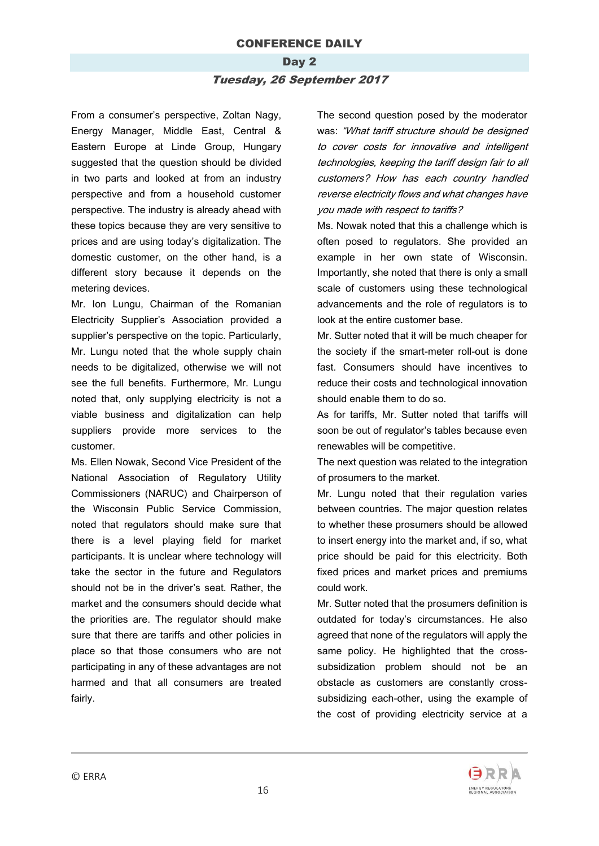# Day 2 Tuesday, 26 September 2017

From a consumer's perspective, Zoltan Nagy, Energy Manager, Middle East, Central & Eastern Europe at Linde Group, Hungary suggested that the question should be divided in two parts and looked at from an industry perspective and from a household customer perspective. The industry is already ahead with these topics because they are very sensitive to prices and are using today's digitalization. The domestic customer, on the other hand, is a different story because it depends on the metering devices.

Mr. Ion Lungu, Chairman of the Romanian Electricity Supplier's Association provided a supplier's perspective on the topic. Particularly, Mr. Lungu noted that the whole supply chain needs to be digitalized, otherwise we will not see the full benefits. Furthermore, Mr. Lungu noted that, only supplying electricity is not a viable business and digitalization can help suppliers provide more services to the customer.

Ms. Ellen Nowak, Second Vice President of the National Association of Regulatory Utility Commissioners (NARUC) and Chairperson of the Wisconsin Public Service Commission, noted that regulators should make sure that there is a level playing field for market participants. It is unclear where technology will take the sector in the future and Regulators should not be in the driver's seat. Rather, the market and the consumers should decide what the priorities are. The regulator should make sure that there are tariffs and other policies in place so that those consumers who are not participating in any of these advantages are not harmed and that all consumers are treated fairly.

The second question posed by the moderator was: "What tariff structure should be designed to cover costs for innovative and intelligent technologies, keeping the tariff design fair to all customers? How has each country handled reverse electricity flows and what changes have you made with respect to tariffs?

Ms. Nowak noted that this a challenge which is often posed to regulators. She provided an example in her own state of Wisconsin. Importantly, she noted that there is only a small scale of customers using these technological advancements and the role of regulators is to look at the entire customer base.

Mr. Sutter noted that it will be much cheaper for the society if the smart-meter roll-out is done fast. Consumers should have incentives to reduce their costs and technological innovation should enable them to do so.

As for tariffs, Mr. Sutter noted that tariffs will soon be out of regulator's tables because even renewables will be competitive.

The next question was related to the integration of prosumers to the market.

Mr. Lungu noted that their regulation varies between countries. The major question relates to whether these prosumers should be allowed to insert energy into the market and, if so, what price should be paid for this electricity. Both fixed prices and market prices and premiums could work.

Mr. Sutter noted that the prosumers definition is outdated for today's circumstances. He also agreed that none of the regulators will apply the same policy. He highlighted that the crosssubsidization problem should not be an obstacle as customers are constantly crosssubsidizing each-other, using the example of the cost of providing electricity service at a

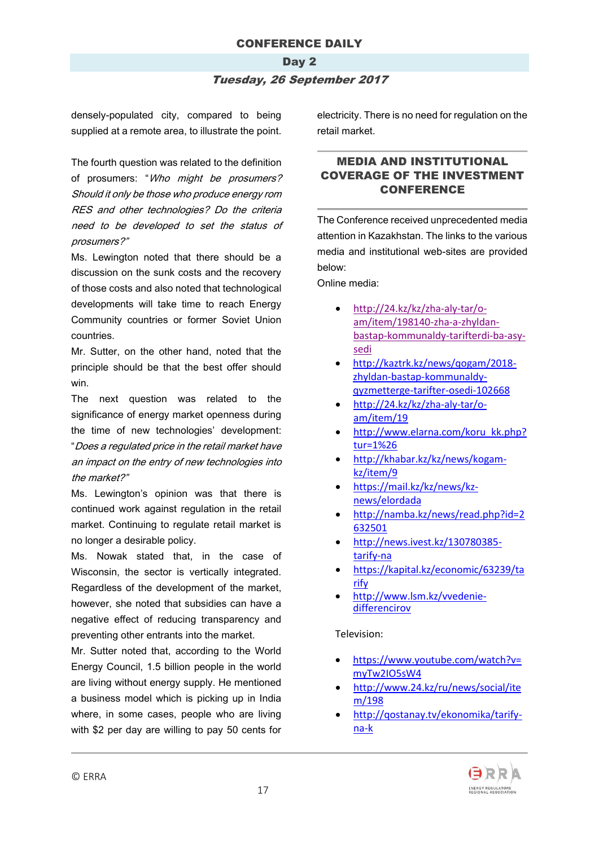# Day 2

#### Tuesday, 26 September 2017

densely-populated city, compared to being supplied at a remote area, to illustrate the point.

The fourth question was related to the definition of prosumers: "Who might be prosumers? Should it only be those who produce energy rom RES and other technologies? Do the criteria need to be developed to set the status of prosumers?"

Ms. Lewington noted that there should be a discussion on the sunk costs and the recovery of those costs and also noted that technological developments will take time to reach Energy Community countries or former Soviet Union countries.

Mr. Sutter, on the other hand, noted that the principle should be that the best offer should win.

The next question was related to the significance of energy market openness during the time of new technologies' development: "Does a regulated price in the retail market have an impact on the entry of new technologies into the market?"

Ms. Lewington's opinion was that there is continued work against regulation in the retail market. Continuing to regulate retail market is no longer a desirable policy.

Ms. Nowak stated that, in the case of Wisconsin, the sector is vertically integrated. Regardless of the development of the market, however, she noted that subsidies can have a negative effect of reducing transparency and preventing other entrants into the market.

Mr. Sutter noted that, according to the World Energy Council, 1.5 billion people in the world are living without energy supply. He mentioned a business model which is picking up in India where, in some cases, people who are living with \$2 per day are willing to pay 50 cents for electricity. There is no need for regulation on the retail market.

### MEDIA AND INSTITUTIONAL COVERAGE OF THE INVESTMENT CONFERENCE

The Conference received unprecedented media attention in Kazakhstan. The links to the various media and institutional web-sites are provided below:

Online media:

- [http://24.kz/kz/zha-aly-tar/o](http://24.kz/kz/zha-aly-tar/o-am/item/198140-zha-a-zhyldan-bastap-kommunaldy-tarifterdi-ba-asy-sedi)[am/item/198140-zha-a-zhyldan](http://24.kz/kz/zha-aly-tar/o-am/item/198140-zha-a-zhyldan-bastap-kommunaldy-tarifterdi-ba-asy-sedi)[bastap-kommunaldy-tarifterdi-ba-asy](http://24.kz/kz/zha-aly-tar/o-am/item/198140-zha-a-zhyldan-bastap-kommunaldy-tarifterdi-ba-asy-sedi)[sedi](http://24.kz/kz/zha-aly-tar/o-am/item/198140-zha-a-zhyldan-bastap-kommunaldy-tarifterdi-ba-asy-sedi)
- [http://kaztrk.kz/news/qogam/2018](http://kaztrk.kz/news/qogam/2018-zhyldan-bastap-kommunaldy-qyzmetterge-tarifter-osedi-102668) [zhyldan-bastap-kommunaldy](http://kaztrk.kz/news/qogam/2018-zhyldan-bastap-kommunaldy-qyzmetterge-tarifter-osedi-102668)[qyzmetterge-tarifter-osedi-102668](http://kaztrk.kz/news/qogam/2018-zhyldan-bastap-kommunaldy-qyzmetterge-tarifter-osedi-102668)
- [http://24.kz/kz/zha-aly-tar/o](http://24.kz/kz/zha-aly-tar/o-am/item/198140-zha-a-zhyldan-bastap-kommunaldy-tarifterdi-ba-asy-sedi)[am/item/19](http://24.kz/kz/zha-aly-tar/o-am/item/198140-zha-a-zhyldan-bastap-kommunaldy-tarifterdi-ba-asy-sedi)
- [http://www.elarna.com/koru\\_kk.php?](http://www.elarna.com/koru_kk.php?tur=1&id=823804) [tur=1%26](http://www.elarna.com/koru_kk.php?tur=1&id=823804)
- [http://khabar.kz/kz/news/kogam](http://khabar.kz/kz/news/kogam-kz/item/91607-elordada-investitsiyalar-men-energetikany-retteu-zh-ninen-konferentsiya-tip-zhatyr)[kz/item/9](http://khabar.kz/kz/news/kogam-kz/item/91607-elordada-investitsiyalar-men-energetikany-retteu-zh-ninen-konferentsiya-tip-zhatyr)
- [https://mail.kz/kz/news/kz](https://mail.kz/kz/news/kz-news/elordada-investiciyalar-men-energetikany-retteu-zhoninen-konferenciya-bastaldy)[news/elordada](https://mail.kz/kz/news/kz-news/elordada-investiciyalar-men-energetikany-retteu-zhoninen-konferenciya-bastaldy)
- [http://namba.kz/news/read.php?id=2](http://namba.kz/news/read.php?id=2632501) [632501](http://namba.kz/news/read.php?id=2632501)
- [http://news.ivest.kz/130780385](http://news.ivest.kz/130780385-tarify-na-komuslugi-mogut-povysit-s-2018-goda-pochti-na-10) [tarify-na](http://news.ivest.kz/130780385-tarify-na-komuslugi-mogut-povysit-s-2018-goda-pochti-na-10)
- [https://kapital.kz/economic/63239/ta](https://kapital.kz/economic/63239/tarify-na-komuslugi-mogut-povysit-s-2018-goda-pochti-na-10.html) [rify](https://kapital.kz/economic/63239/tarify-na-komuslugi-mogut-povysit-s-2018-goda-pochti-na-10.html)
- [http://www.lsm.kz/vvedenie](http://www.lsm.kz/vvedenie-differencirovannyh-tarifov-na-komuslugi-ne-opravdalo-sebya--minnacekonomiki)[differencirov](http://www.lsm.kz/vvedenie-differencirovannyh-tarifov-na-komuslugi-ne-opravdalo-sebya--minnacekonomiki)

#### Television:

- [https://www.youtube.com/watch?v=](https://www.youtube.com/watch?v=myTw2IO5sW4) [myTw2IO5sW4](https://www.youtube.com/watch?v=myTw2IO5sW4)
- [http://www.24.kz/ru/news/social/ite](http://www.24.kz/ru/news/social/item/198175-s-nachala-2018-goda-ozhidaetsya-rost-tarifov) [m/198](http://www.24.kz/ru/news/social/item/198175-s-nachala-2018-goda-ozhidaetsya-rost-tarifov)
- [http://qostanay.tv/ekonomika/tarify](http://qostanay.tv/ekonomika/tarify-na-kommunalnye-uslugi-mogut-povysit-v-2018-godu-pochti-na-10)[na-k](http://qostanay.tv/ekonomika/tarify-na-kommunalnye-uslugi-mogut-povysit-v-2018-godu-pochti-na-10)